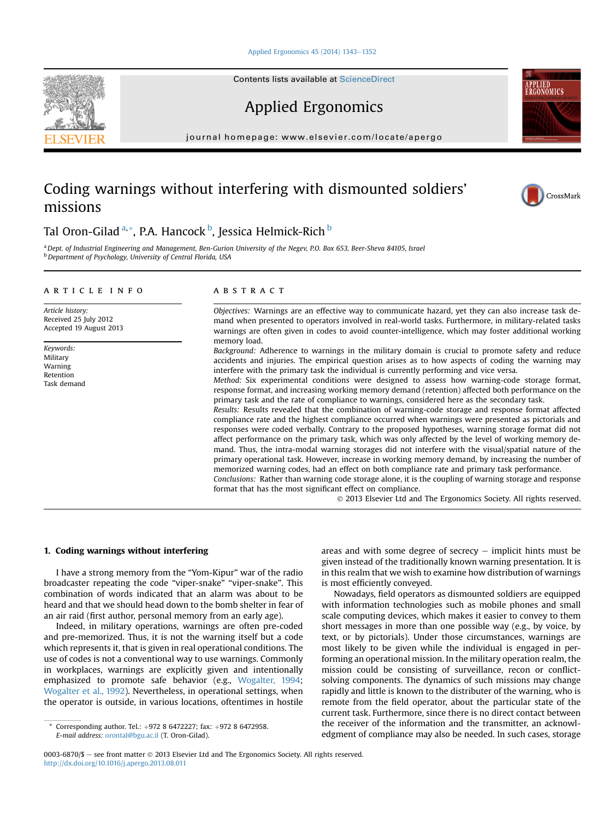[Applied Ergonomics 45 \(2014\) 1343](http://dx.doi.org/10.1016/j.apergo.2013.08.011)-[1352](http://dx.doi.org/10.1016/j.apergo.2013.08.011)

Contents lists available at ScienceDirect

Applied Ergonomics

journal homepage: [www.elsevier.com/locate/apergo](http://www.elsevier.com/locate/apergo)

# Coding warnings without interfering with dismounted soldiers' missions



<sup>a</sup> Dept. of Industrial Engineering and Management, Ben-Gurion University of the Negev, P.O. Box 653, Beer-Sheva 84105, Israel **b** Department of Psychology, University of Central Florida, USA

#### article info

Article history: Received 25 July 2012 Accepted 19 August 2013

Keywords: Military Warning Retention Task demand

# ABSTRACT

Objectives: Warnings are an effective way to communicate hazard, yet they can also increase task demand when presented to operators involved in real-world tasks. Furthermore, in military-related tasks warnings are often given in codes to avoid counter-intelligence, which may foster additional working memory load.

Background: Adherence to warnings in the military domain is crucial to promote safety and reduce accidents and injuries. The empirical question arises as to how aspects of coding the warning may interfere with the primary task the individual is currently performing and vice versa.

Method: Six experimental conditions were designed to assess how warning-code storage format, response format, and increasing working memory demand (retention) affected both performance on the primary task and the rate of compliance to warnings, considered here as the secondary task.

Results: Results revealed that the combination of warning-code storage and response format affected compliance rate and the highest compliance occurred when warnings were presented as pictorials and responses were coded verbally. Contrary to the proposed hypotheses, warning storage format did not affect performance on the primary task, which was only affected by the level of working memory demand. Thus, the intra-modal warning storages did not interfere with the visual/spatial nature of the primary operational task. However, increase in working memory demand, by increasing the number of memorized warning codes, had an effect on both compliance rate and primary task performance.

Conclusions: Rather than warning code storage alone, it is the coupling of warning storage and response format that has the most significant effect on compliance.

2013 Elsevier Ltd and The Ergonomics Society. All rights reserved.

## 1. Coding warnings without interfering

I have a strong memory from the "Yom-Kipur" war of the radio broadcaster repeating the code "viper-snake" "viper-snake". This combination of words indicated that an alarm was about to be heard and that we should head down to the bomb shelter in fear of an air raid (first author, personal memory from an early age).

Indeed, in military operations, warnings are often pre-coded and pre-memorized. Thus, it is not the warning itself but a code which represents it, that is given in real operational conditions. The use of codes is not a conventional way to use warnings. Commonly in workplaces, warnings are explicitly given and intentionally emphasized to promote safe behavior (e.g., [Wogalter, 1994;](#page-9-0) [Wogalter et al., 1992\)](#page-9-0). Nevertheless, in operational settings, when the operator is outside, in various locations, oftentimes in hostile areas and with some degree of secrecy  $-$  implicit hints must be given instead of the traditionally known warning presentation. It is in this realm that we wish to examine how distribution of warnings is most efficiently conveyed.

Nowadays, field operators as dismounted soldiers are equipped with information technologies such as mobile phones and small scale computing devices, which makes it easier to convey to them short messages in more than one possible way (e.g., by voice, by text, or by pictorials). Under those circumstances, warnings are most likely to be given while the individual is engaged in performing an operational mission. In the military operation realm, the mission could be consisting of surveillance, recon or conflictsolving components. The dynamics of such missions may change rapidly and little is known to the distributer of the warning, who is remote from the field operator, about the particular state of the current task. Furthermore, since there is no direct contact between the receiver of the information and the transmitter, an acknowledgment of compliance may also be needed. In such cases, storage







Corresponding author. Tel.: +972 8 6472227; fax: +972 8 6472958. E-mail address: [orontal@bgu.ac.il](mailto:orontal@bgu.ac.il) (T. Oron-Gilad).

<sup>0003-6870/\$</sup>  $-$  see front matter  $\odot$  2013 Elsevier Ltd and The Ergonomics Society. All rights reserved. <http://dx.doi.org/10.1016/j.apergo.2013.08.011>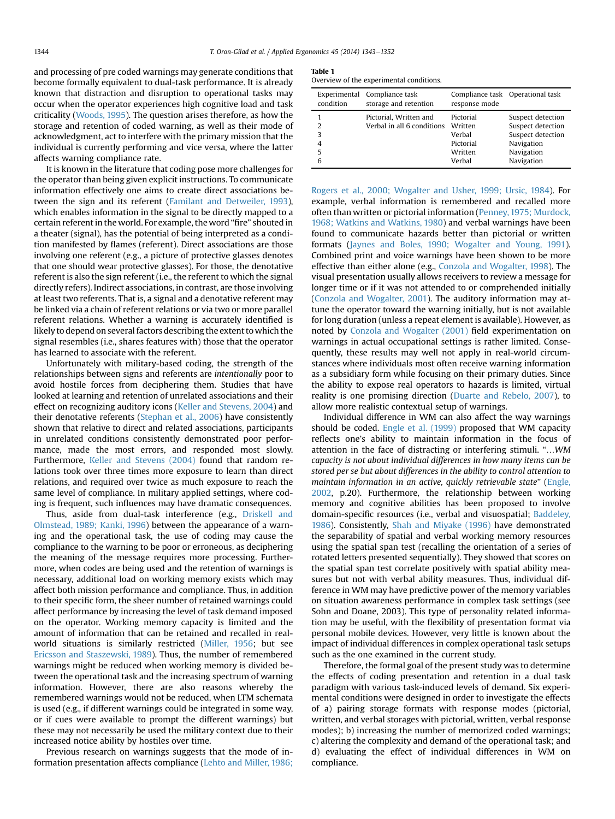<span id="page-1-0"></span>and processing of pre coded warnings may generate conditions that become formally equivalent to dual-task performance. It is already known that distraction and disruption to operational tasks may occur when the operator experiences high cognitive load and task criticality ([Woods, 1995\)](#page-9-0). The question arises therefore, as how the storage and retention of coded warning, as well as their mode of acknowledgment, act to interfere with the primary mission that the individual is currently performing and vice versa, where the latter affects warning compliance rate.

It is known in the literature that coding pose more challenges for the operator than being given explicit instructions. To communicate information effectively one aims to create direct associations between the sign and its referent [\(Familant and Detweiler, 1993\)](#page-8-0), which enables information in the signal to be directly mapped to a certain referent in the world. For example, the word "fire" shouted in a theater (signal), has the potential of being interpreted as a condition manifested by flames (referent). Direct associations are those involving one referent (e.g., a picture of protective glasses denotes that one should wear protective glasses). For those, the denotative referent is also the sign referent (i.e., the referent to which the signal directly refers). Indirect associations, in contrast, are those involving at least two referents. That is, a signal and a denotative referent may be linked via a chain of referent relations or via two or more parallel referent relations. Whether a warning is accurately identified is likely to depend on several factors describing the extent towhich the signal resembles (i.e., shares features with) those that the operator has learned to associate with the referent.

Unfortunately with military-based coding, the strength of the relationships between signs and referents are intentionally poor to avoid hostile forces from deciphering them. Studies that have looked at learning and retention of unrelated associations and their effect on recognizing auditory icons [\(Keller and Stevens, 2004\)](#page-9-0) and their denotative referents [\(Stephan et al., 2006](#page-9-0)) have consistently shown that relative to direct and related associations, participants in unrelated conditions consistently demonstrated poor performance, made the most errors, and responded most slowly. Furthermore, [Keller and Stevens \(2004\)](#page-9-0) found that random relations took over three times more exposure to learn than direct relations, and required over twice as much exposure to reach the same level of compliance. In military applied settings, where coding is frequent, such influences may have dramatic consequences.

Thus, aside from dual-task interference (e.g., [Driskell and](#page-8-0) [Olmstead, 1989; Kanki, 1996](#page-8-0)) between the appearance of a warning and the operational task, the use of coding may cause the compliance to the warning to be poor or erroneous, as deciphering the meaning of the message requires more processing. Furthermore, when codes are being used and the retention of warnings is necessary, additional load on working memory exists which may affect both mission performance and compliance. Thus, in addition to their specific form, the sheer number of retained warnings could affect performance by increasing the level of task demand imposed on the operator. Working memory capacity is limited and the amount of information that can be retained and recalled in realworld situations is similarly restricted ([Miller, 1956](#page-9-0); but see [Ericsson and Staszewski, 1989](#page-8-0)). Thus, the number of remembered warnings might be reduced when working memory is divided between the operational task and the increasing spectrum of warning information. However, there are also reasons whereby the remembered warnings would not be reduced, when LTM schemata is used (e.g., if different warnings could be integrated in some way, or if cues were available to prompt the different warnings) but these may not necessarily be used the military context due to their increased notice ability by hostiles over time.

Previous research on warnings suggests that the mode of information presentation affects compliance [\(Lehto and Miller, 1986;](#page-9-0)

#### Table 1

Overview of the experimental conditions.

| Experimental<br>condition    | Compliance task<br>storage and retention             | response mode                                                    | Compliance task Operational task                                                                      |
|------------------------------|------------------------------------------------------|------------------------------------------------------------------|-------------------------------------------------------------------------------------------------------|
| $\mathcal{P}$<br>3<br>5<br>6 | Pictorial, Written and<br>Verbal in all 6 conditions | Pictorial<br>Written<br>Verbal<br>Pictorial<br>Written<br>Verbal | Suspect detection<br>Suspect detection<br>Suspect detection<br>Navigation<br>Navigation<br>Navigation |
|                              |                                                      |                                                                  |                                                                                                       |

[Rogers et al., 2000; Wogalter and Usher, 1999; Ursic, 1984](#page-9-0)). For example, verbal information is remembered and recalled more often than written or pictorial information ([Penney, 1975; Murdock,](#page-9-0) [1968; Watkins and Watkins, 1980\)](#page-9-0) and verbal warnings have been found to communicate hazards better than pictorial or written formats [\(Jaynes and Boles, 1990; Wogalter and Young, 1991\)](#page-9-0). Combined print and voice warnings have been shown to be more effective than either alone (e.g., [Conzola and Wogalter, 1998](#page-8-0)). The visual presentation usually allows receivers to review a message for longer time or if it was not attended to or comprehended initially ([Conzola and Wogalter, 2001\)](#page-8-0). The auditory information may attune the operator toward the warning initially, but is not available for long duration (unless a repeat element is available). However, as noted by [Conzola and Wogalter \(2001\)](#page-8-0) field experimentation on warnings in actual occupational settings is rather limited. Consequently, these results may well not apply in real-world circumstances where individuals most often receive warning information as a subsidiary form while focusing on their primary duties. Since the ability to expose real operators to hazards is limited, virtual reality is one promising direction ([Duarte and Rebelo, 2007\)](#page-8-0), to allow more realistic contextual setup of warnings.

Individual difference in WM can also affect the way warnings should be coded. [Engle et al. \(1999\)](#page-8-0) proposed that WM capacity reflects one's ability to maintain information in the focus of attention in the face of distracting or interfering stimuli. "...WM capacity is not about individual differences in how many items can be stored per se but about differences in the ability to control attention to maintain information in an active, quickly retrievable state" [\(Engle,](#page-8-0) [2002](#page-8-0), p.20). Furthermore, the relationship between working memory and cognitive abilities has been proposed to involve domain-specific resources (i.e., verbal and visuospatial; [Baddeley,](#page-8-0) [1986](#page-8-0)). Consistently, [Shah and Miyake \(1996\)](#page-9-0) have demonstrated the separability of spatial and verbal working memory resources using the spatial span test (recalling the orientation of a series of rotated letters presented sequentially). They showed that scores on the spatial span test correlate positively with spatial ability measures but not with verbal ability measures. Thus, individual difference in WM may have predictive power of the memory variables on situation awareness performance in complex task settings (see Sohn and Doane, 2003). This type of personality related information may be useful, with the flexibility of presentation format via personal mobile devices. However, very little is known about the impact of individual differences in complex operational task setups such as the one examined in the current study.

Therefore, the formal goal of the present study was to determine the effects of coding presentation and retention in a dual task paradigm with various task-induced levels of demand. Six experimental conditions were designed in order to investigate the effects of a) pairing storage formats with response modes (pictorial, written, and verbal storages with pictorial, written, verbal response modes); b) increasing the number of memorized coded warnings; c) altering the complexity and demand of the operational task; and d) evaluating the effect of individual differences in WM on compliance.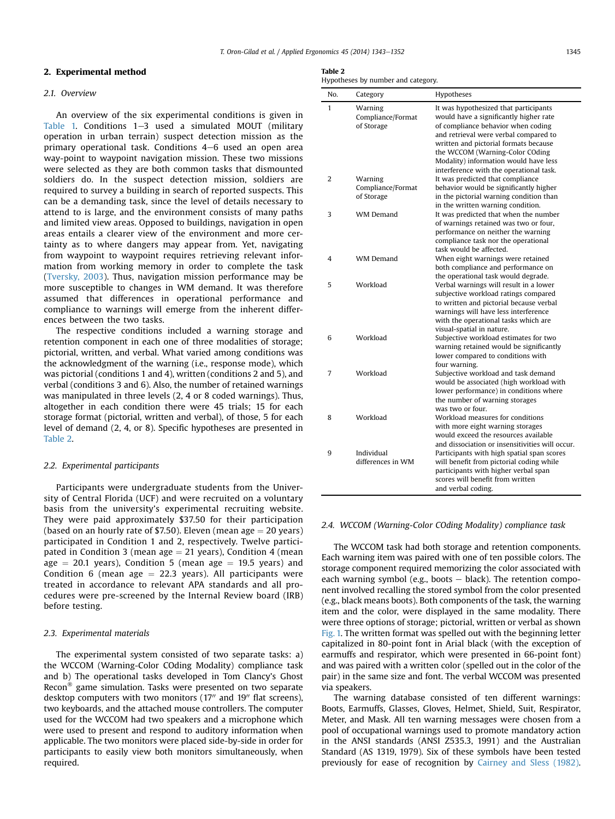# 2. Experimental method

# 2.1. Overview

An overview of the six experimental conditions is given in [Table 1.](#page-1-0) Conditions  $1-3$  used a simulated MOUT (military operation in urban terrain) suspect detection mission as the primary operational task. Conditions  $4-6$  used an open area way-point to waypoint navigation mission. These two missions were selected as they are both common tasks that dismounted soldiers do. In the suspect detection mission, soldiers are required to survey a building in search of reported suspects. This can be a demanding task, since the level of details necessary to attend to is large, and the environment consists of many paths and limited view areas. Opposed to buildings, navigation in open areas entails a clearer view of the environment and more certainty as to where dangers may appear from. Yet, navigating from waypoint to waypoint requires retrieving relevant information from working memory in order to complete the task ([Tversky, 2003\)](#page-9-0). Thus, navigation mission performance may be more susceptible to changes in WM demand. It was therefore assumed that differences in operational performance and compliance to warnings will emerge from the inherent differences between the two tasks.

The respective conditions included a warning storage and retention component in each one of three modalities of storage; pictorial, written, and verbal. What varied among conditions was the acknowledgment of the warning (i.e., response mode), which was pictorial (conditions 1 and 4), written (conditions 2 and 5), and verbal (conditions 3 and 6). Also, the number of retained warnings was manipulated in three levels (2, 4 or 8 coded warnings). Thus, altogether in each condition there were 45 trials; 15 for each storage format (pictorial, written and verbal), of those, 5 for each level of demand (2, 4, or 8). Specific hypotheses are presented in Table 2.

#### 2.2. Experimental participants

Participants were undergraduate students from the University of Central Florida (UCF) and were recruited on a voluntary basis from the university's experimental recruiting website. They were paid approximately \$37.50 for their participation (based on an hourly rate of \$7.50). Eleven (mean age  $= 20$  years) participated in Condition 1 and 2, respectively. Twelve participated in Condition 3 (mean age  $=$  21 years), Condition 4 (mean age  $= 20.1$  years), Condition 5 (mean age  $= 19.5$  years) and Condition 6 (mean age  $= 22.3$  years). All participants were treated in accordance to relevant APA standards and all procedures were pre-screened by the Internal Review board (IRB) before testing.

## 2.3. Experimental materials

The experimental system consisted of two separate tasks: a) the WCCOM (Warning-Color COding Modality) compliance task and b) The operational tasks developed in Tom Clancy's Ghost Recon<sup>®</sup> game simulation. Tasks were presented on two separate desktop computers with two monitors  $(17<sup>′</sup>$  and  $19<sup>′</sup>$  flat screens), two keyboards, and the attached mouse controllers. The computer used for the WCCOM had two speakers and a microphone which were used to present and respond to auditory information when applicable. The two monitors were placed side-by-side in order for participants to easily view both monitors simultaneously, when required.

#### Table 2

Hypotheses by number and category.

| No.            | Category                                   | Hypotheses                                                                                                                                                                                                                                                                                                                     |
|----------------|--------------------------------------------|--------------------------------------------------------------------------------------------------------------------------------------------------------------------------------------------------------------------------------------------------------------------------------------------------------------------------------|
| 1              | Warning<br>Compliance/Format<br>of Storage | It was hypothesized that participants<br>would have a significantly higher rate<br>of compliance behavior when coding<br>and retrieval were verbal compared to<br>written and pictorial formats because<br>the WCCOM (Warning-Color COding<br>Modality) information would have less<br>interference with the operational task. |
| $\overline{2}$ | Warning<br>Compliance/Format<br>of Storage | It was predicted that compliance<br>behavior would be significantly higher<br>in the pictorial warning condition than<br>in the written warning condition.                                                                                                                                                                     |
| 3              | <b>WM Demand</b>                           | It was predicted that when the number<br>of warnings retained was two or four,<br>performance on neither the warning<br>compliance task nor the operational<br>task would be affected.                                                                                                                                         |
| 4              | <b>WM Demand</b>                           | When eight warnings were retained<br>both compliance and performance on<br>the operational task would degrade.                                                                                                                                                                                                                 |
| 5              | Workload                                   | Verbal warnings will result in a lower<br>subjective workload ratings compared<br>to written and pictorial because verbal<br>warnings will have less interference<br>with the operational tasks which are<br>visual-spatial in nature.                                                                                         |
| 6              | Workload                                   | Subjective workload estimates for two<br>warning retained would be significantly<br>lower compared to conditions with<br>four warning.                                                                                                                                                                                         |
| 7              | Workload                                   | Subjective workload and task demand<br>would be associated (high workload with<br>lower performance) in conditions where<br>the number of warning storages<br>was two or four.                                                                                                                                                 |
| 8              | Workload                                   | Workload measures for conditions<br>with more eight warning storages<br>would exceed the resources available<br>and dissociation or insensitivities will occur.                                                                                                                                                                |
| 9              | Individual<br>differences in WM            | Participants with high spatial span scores<br>will benefit from pictorial coding while<br>participants with higher verbal span<br>scores will benefit from written<br>and verbal coding.                                                                                                                                       |

## 2.4. WCCOM (Warning-Color COding Modality) compliance task

The WCCOM task had both storage and retention components. Each warning item was paired with one of ten possible colors. The storage component required memorizing the color associated with each warning symbol (e.g., boots  $-$  black). The retention component involved recalling the stored symbol from the color presented (e.g., black means boots). Both components of the task, the warning item and the color, were displayed in the same modality. There were three options of storage; pictorial, written or verbal as shown [Fig. 1.](#page-3-0) The written format was spelled out with the beginning letter capitalized in 80-point font in Arial black (with the exception of earmuffs and respirator, which were presented in 66-point font) and was paired with a written color (spelled out in the color of the pair) in the same size and font. The verbal WCCOM was presented via speakers.

The warning database consisted of ten different warnings: Boots, Earmuffs, Glasses, Gloves, Helmet, Shield, Suit, Respirator, Meter, and Mask. All ten warning messages were chosen from a pool of occupational warnings used to promote mandatory action in the ANSI standards (ANSI Z535.3, 1991) and the Australian Standard (AS 1319, 1979). Six of these symbols have been tested previously for ease of recognition by [Cairney and Sless \(1982\).](#page-8-0)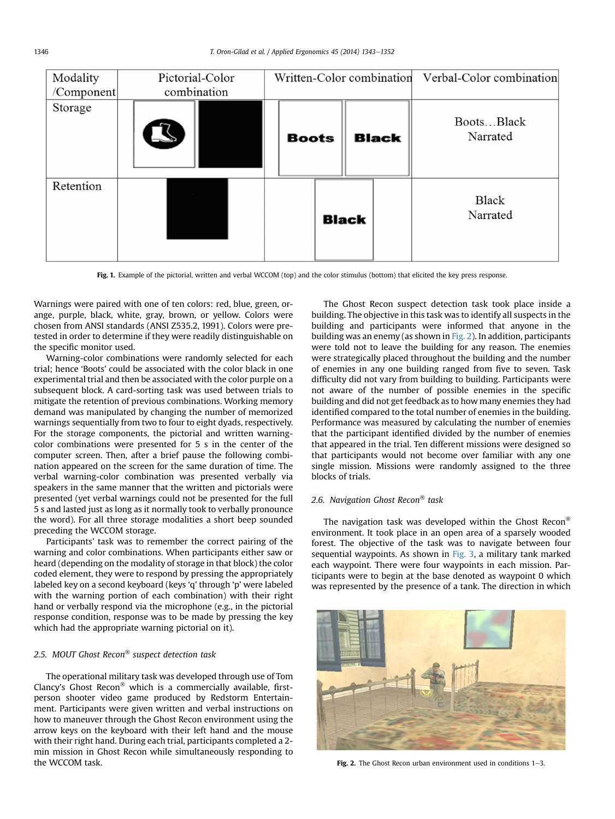<span id="page-3-0"></span>

| Modality<br>/Component | Pictorial-Color<br>combination | Written-Color combination |              | Verbal-Color combination |
|------------------------|--------------------------------|---------------------------|--------------|--------------------------|
| Storage                |                                | <b>Boots</b>              | <b>Black</b> | BootsBlack<br>Narrated   |
| Retention              |                                | <b>Black</b>              |              | Black<br>Narrated        |

Fig. 1. Example of the pictorial, written and verbal WCCOM (top) and the color stimulus (bottom) that elicited the key press response.

Warnings were paired with one of ten colors: red, blue, green, orange, purple, black, white, gray, brown, or yellow. Colors were chosen from ANSI standards (ANSI Z535.2, 1991). Colors were pretested in order to determine if they were readily distinguishable on the specific monitor used.

Warning-color combinations were randomly selected for each trial; hence 'Boots' could be associated with the color black in one experimental trial and then be associated with the color purple on a subsequent block. A card-sorting task was used between trials to mitigate the retention of previous combinations. Working memory demand was manipulated by changing the number of memorized warnings sequentially from two to four to eight dyads, respectively. For the storage components, the pictorial and written warningcolor combinations were presented for 5 s in the center of the computer screen. Then, after a brief pause the following combination appeared on the screen for the same duration of time. The verbal warning-color combination was presented verbally via speakers in the same manner that the written and pictorials were presented (yet verbal warnings could not be presented for the full 5 s and lasted just as long as it normally took to verbally pronounce the word). For all three storage modalities a short beep sounded preceding the WCCOM storage.

Participants' task was to remember the correct pairing of the warning and color combinations. When participants either saw or heard (depending on the modality of storage in that block) the color coded element, they were to respond by pressing the appropriately labeled key on a second keyboard (keys 'q' through 'p' were labeled with the warning portion of each combination) with their right hand or verbally respond via the microphone (e.g., in the pictorial response condition, response was to be made by pressing the key which had the appropriate warning pictorial on it).

# 2.5. MOUT Ghost Recon® suspect detection task

The operational military task was developed through use of Tom Clancy's Ghost Recon<sup>®</sup> which is a commercially available, firstperson shooter video game produced by Redstorm Entertainment. Participants were given written and verbal instructions on how to maneuver through the Ghost Recon environment using the arrow keys on the keyboard with their left hand and the mouse with their right hand. During each trial, participants completed a 2 min mission in Ghost Recon while simultaneously responding to the WCCOM task.

The Ghost Recon suspect detection task took place inside a building. The objective in this task was to identify all suspects in the building and participants were informed that anyone in the building was an enemy (as shown in Fig. 2). In addition, participants were told not to leave the building for any reason. The enemies were strategically placed throughout the building and the number of enemies in any one building ranged from five to seven. Task difficulty did not vary from building to building. Participants were not aware of the number of possible enemies in the specific building and did not get feedback as to how many enemies they had identified compared to the total number of enemies in the building. Performance was measured by calculating the number of enemies that the participant identified divided by the number of enemies that appeared in the trial. Ten different missions were designed so that participants would not become over familiar with any one single mission. Missions were randomly assigned to the three blocks of trials.

# 2.6. Navigation Ghost Recon® task

The navigation task was developed within the Ghost Recon® environment. It took place in an open area of a sparsely wooded forest. The objective of the task was to navigate between four sequential waypoints. As shown in [Fig. 3](#page-4-0), a military tank marked each waypoint. There were four waypoints in each mission. Participants were to begin at the base denoted as waypoint 0 which was represented by the presence of a tank. The direction in which



Fig. 2. The Ghost Recon urban environment used in conditions  $1-3$ .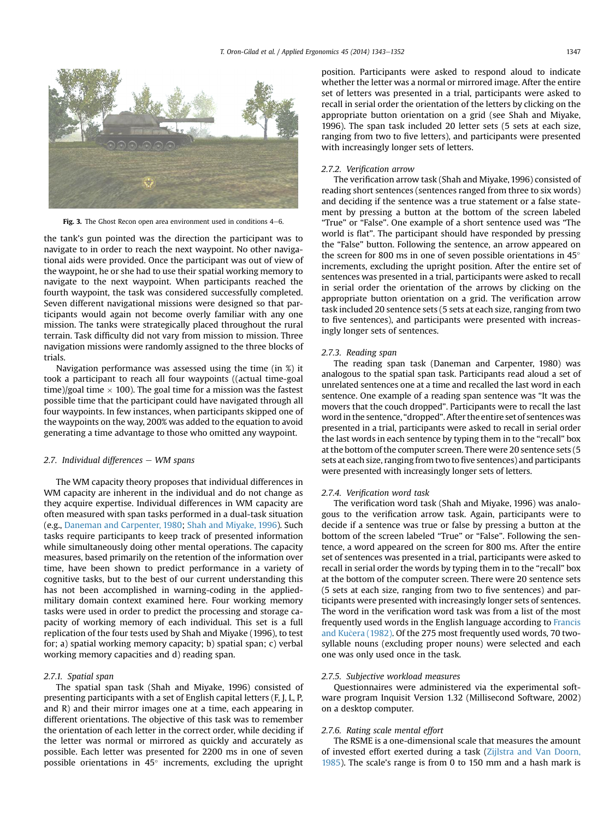<span id="page-4-0"></span>

Fig. 3. The Ghost Recon open area environment used in conditions  $4-6$ .

the tank's gun pointed was the direction the participant was to navigate to in order to reach the next waypoint. No other navigational aids were provided. Once the participant was out of view of the waypoint, he or she had to use their spatial working memory to navigate to the next waypoint. When participants reached the fourth waypoint, the task was considered successfully completed. Seven different navigational missions were designed so that participants would again not become overly familiar with any one mission. The tanks were strategically placed throughout the rural terrain. Task difficulty did not vary from mission to mission. Three navigation missions were randomly assigned to the three blocks of trials.

Navigation performance was assessed using the time (in %) it took a participant to reach all four waypoints ((actual time-goal time)/goal time  $\times$  100). The goal time for a mission was the fastest possible time that the participant could have navigated through all four waypoints. In few instances, when participants skipped one of the waypoints on the way, 200% was added to the equation to avoid generating a time advantage to those who omitted any waypoint.

## 2.7. Individual differences  $-$  WM spans

The WM capacity theory proposes that individual differences in WM capacity are inherent in the individual and do not change as they acquire expertise. Individual differences in WM capacity are often measured with span tasks performed in a dual-task situation (e.g., [Daneman and Carpenter, 1980](#page-8-0); [Shah and Miyake, 1996](#page-9-0)). Such tasks require participants to keep track of presented information while simultaneously doing other mental operations. The capacity measures, based primarily on the retention of the information over time, have been shown to predict performance in a variety of cognitive tasks, but to the best of our current understanding this has not been accomplished in warning-coding in the appliedmilitary domain context examined here. Four working memory tasks were used in order to predict the processing and storage capacity of working memory of each individual. This set is a full replication of the four tests used by Shah and Miyake (1996), to test for; a) spatial working memory capacity; b) spatial span; c) verbal working memory capacities and d) reading span.

## 2.7.1. Spatial span

The spatial span task (Shah and Miyake, 1996) consisted of presenting participants with a set of English capital letters (F, J, L, P, and R) and their mirror images one at a time, each appearing in different orientations. The objective of this task was to remember the orientation of each letter in the correct order, while deciding if the letter was normal or mirrored as quickly and accurately as possible. Each letter was presented for 2200 ms in one of seven possible orientations in 45 $^{\circ}$  increments, excluding the upright position. Participants were asked to respond aloud to indicate whether the letter was a normal or mirrored image. After the entire set of letters was presented in a trial, participants were asked to recall in serial order the orientation of the letters by clicking on the appropriate button orientation on a grid (see Shah and Miyake, 1996). The span task included 20 letter sets (5 sets at each size, ranging from two to five letters), and participants were presented with increasingly longer sets of letters.

## 2.7.2. Verification arrow

The verification arrow task (Shah and Miyake, 1996) consisted of reading short sentences (sentences ranged from three to six words) and deciding if the sentence was a true statement or a false statement by pressing a button at the bottom of the screen labeled "True" or "False". One example of a short sentence used was "The world is flat". The participant should have responded by pressing the "False" button. Following the sentence, an arrow appeared on the screen for 800 ms in one of seven possible orientations in 45 increments, excluding the upright position. After the entire set of sentences was presented in a trial, participants were asked to recall in serial order the orientation of the arrows by clicking on the appropriate button orientation on a grid. The verification arrow task included 20 sentence sets (5 sets at each size, ranging from two to five sentences), and participants were presented with increasingly longer sets of sentences.

#### 2.7.3. Reading span

The reading span task (Daneman and Carpenter, 1980) was analogous to the spatial span task. Participants read aloud a set of unrelated sentences one at a time and recalled the last word in each sentence. One example of a reading span sentence was "It was the movers that the couch dropped". Participants were to recall the last word in the sentence, "dropped". After the entire set of sentences was presented in a trial, participants were asked to recall in serial order the last words in each sentence by typing them in to the "recall" box at the bottom of the computer screen. There were 20 sentence sets (5 sets at each size, ranging from two to five sentences) and participants were presented with increasingly longer sets of letters.

## 2.7.4. Verification word task

The verification word task (Shah and Miyake, 1996) was analogous to the verification arrow task. Again, participants were to decide if a sentence was true or false by pressing a button at the bottom of the screen labeled "True" or "False". Following the sentence, a word appeared on the screen for 800 ms. After the entire set of sentences was presented in a trial, participants were asked to recall in serial order the words by typing them in to the "recall" box at the bottom of the computer screen. There were 20 sentence sets (5 sets at each size, ranging from two to five sentences) and participants were presented with increasingly longer sets of sentences. The word in the verification word task was from a list of the most frequently used words in the English language according to [Francis](#page-8-0) [and Ku](#page-8-0)č[era \(1982\).](#page-8-0) Of the 275 most frequently used words, 70 twosyllable nouns (excluding proper nouns) were selected and each one was only used once in the task.

#### 2.7.5. Subjective workload measures

Questionnaires were administered via the experimental software program Inquisit Version 1.32 (Millisecond Software, 2002) on a desktop computer.

#### 2.7.6. Rating scale mental effort

The RSME is a one-dimensional scale that measures the amount of invested effort exerted during a task ([Zijlstra and Van Doorn,](#page-9-0) [1985\)](#page-9-0). The scale's range is from 0 to 150 mm and a hash mark is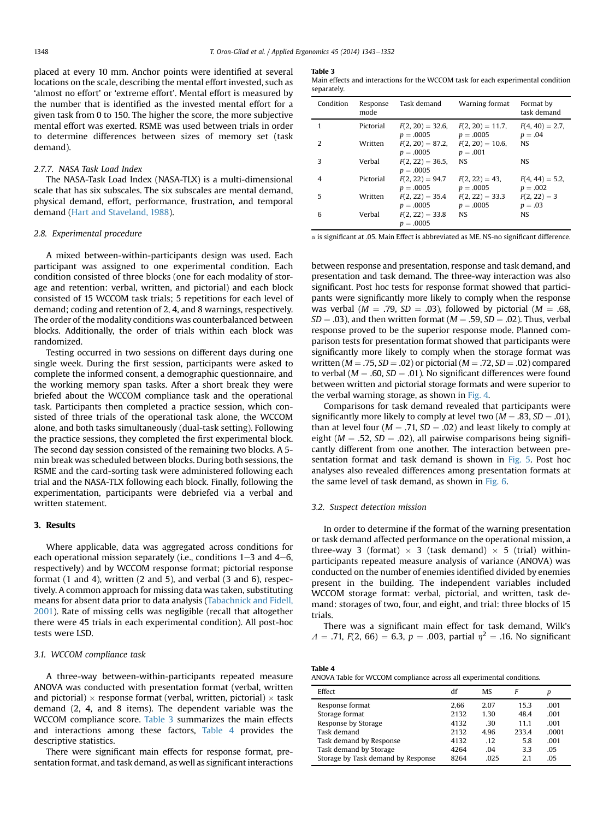<span id="page-5-0"></span>placed at every 10 mm. Anchor points were identified at several locations on the scale, describing the mental effort invested, such as 'almost no effort' or 'extreme effort'. Mental effort is measured by the number that is identified as the invested mental effort for a given task from 0 to 150. The higher the score, the more subjective mental effort was exerted. RSME was used between trials in order to determine differences between sizes of memory set (task demand).

## 2.7.7. NASA Task Load Index

The NASA-Task Load Index (NASA-TLX) is a multi-dimensional scale that has six subscales. The six subscales are mental demand, physical demand, effort, performance, frustration, and temporal demand [\(Hart and Staveland, 1988\)](#page-8-0).

#### 2.8. Experimental procedure

A mixed between-within-participants design was used. Each participant was assigned to one experimental condition. Each condition consisted of three blocks (one for each modality of storage and retention: verbal, written, and pictorial) and each block consisted of 15 WCCOM task trials; 5 repetitions for each level of demand; coding and retention of 2, 4, and 8 warnings, respectively. The order of the modality conditions was counterbalanced between blocks. Additionally, the order of trials within each block was randomized.

Testing occurred in two sessions on different days during one single week. During the first session, participants were asked to complete the informed consent, a demographic questionnaire, and the working memory span tasks. After a short break they were briefed about the WCCOM compliance task and the operational task. Participants then completed a practice session, which consisted of three trials of the operational task alone, the WCCOM alone, and both tasks simultaneously (dual-task setting). Following the practice sessions, they completed the first experimental block. The second day session consisted of the remaining two blocks. A 5 min break was scheduled between blocks. During both sessions, the RSME and the card-sorting task were administered following each trial and the NASA-TLX following each block. Finally, following the experimentation, participants were debriefed via a verbal and written statement.

## 3. Results

Where applicable, data was aggregated across conditions for each operational mission separately (i.e., conditions  $1-3$  and  $4-6$ , respectively) and by WCCOM response format; pictorial response format (1 and 4), written (2 and 5), and verbal (3 and 6), respectively. A common approach for missing data was taken, substituting means for absent data prior to data analysis [\(Tabachnick and Fidell,](#page-9-0) [2001\)](#page-9-0). Rate of missing cells was negligible (recall that altogether there were 45 trials in each experimental condition). All post-hoc tests were LSD.

## 3.1. WCCOM compliance task

A three-way between-within-participants repeated measure ANOVA was conducted with presentation format (verbal, written and pictorial)  $\times$  response format (verbal, written, pictorial)  $\times$  task demand (2, 4, and 8 items). The dependent variable was the WCCOM compliance score. Table 3 summarizes the main effects and interactions among these factors, Table 4 provides the descriptive statistics.

There were significant main effects for response format, presentation format, and task demand, as well as significant interactions

Table 3

|             | Main effects and interactions for the WCCOM task for each experimental condition |  |  |  |  |  |
|-------------|----------------------------------------------------------------------------------|--|--|--|--|--|
| separately. |                                                                                  |  |  |  |  |  |

| Condition      | Response<br>mode | Task demand                      | Warning format                  | Format by<br>task demand      |
|----------------|------------------|----------------------------------|---------------------------------|-------------------------------|
| 1              | Pictorial        | $F(2, 20) = 32.6$<br>$p=.0005$   | $F(2, 20) = 11.7$<br>$p=.0005$  | $F(4, 40) = 2.7$ ,<br>$p=.04$ |
| $\overline{2}$ | Written          | $F(2, 20) = 87.2$<br>$p=.0005$   | $F(2, 20) = 10.6$ ,<br>$p=.001$ | <b>NS</b>                     |
| 3              | Verbal           | $F(2, 22) = 36.5$ ,<br>$p=.0005$ | <b>NS</b>                       | <b>NS</b>                     |
| 4              | Pictorial        | $F(2, 22) = 94.7$<br>$p=.0005$   | $F(2, 22) = 43$ ,<br>$p=.0005$  | $F(4, 44) = 5.2$<br>$p=.002$  |
| 5              | Written          | $F(2, 22) = 35.4$<br>$p=.0005$   | $F(2, 22) = 33.3$<br>$p=.0005$  | $F(2, 22) = 3$<br>$p=.03$     |
| 6              | Verbal           | $F(2, 22) = 33.8$<br>$p = .0005$ | NS.                             | <b>NS</b>                     |

 $\alpha$  is significant at .05. Main Effect is abbreviated as ME. NS-no significant difference.

between response and presentation, response and task demand, and presentation and task demand. The three-way interaction was also significant. Post hoc tests for response format showed that participants were significantly more likely to comply when the response was verbal ( $M = .79$ ,  $SD = .03$ ), followed by pictorial ( $M = .68$ ,  $SD = .03$ ), and then written format ( $M = .59$ ,  $SD = .02$ ). Thus, verbal response proved to be the superior response mode. Planned comparison tests for presentation format showed that participants were significantly more likely to comply when the storage format was written ( $M = .75$ ,  $SD = .02$ ) or pictorial ( $M = .72$ ,  $SD = .02$ ) compared to verbal ( $M = .60$ ,  $SD = .01$ ). No significant differences were found between written and pictorial storage formats and were superior to the verbal warning storage, as shown in [Fig. 4](#page-6-0).

Comparisons for task demand revealed that participants were significantly more likely to comply at level two ( $M = .83$ ,  $SD = .01$ ), than at level four ( $M = .71$ ,  $SD = .02$ ) and least likely to comply at eight ( $M = .52$ ,  $SD = .02$ ), all pairwise comparisons being significantly different from one another. The interaction between presentation format and task demand is shown in [Fig. 5.](#page-6-0) Post hoc analyses also revealed differences among presentation formats at the same level of task demand, as shown in [Fig. 6.](#page-6-0)

#### 3.2. Suspect detection mission

In order to determine if the format of the warning presentation or task demand affected performance on the operational mission, a three-way 3 (format)  $\times$  3 (task demand)  $\times$  5 (trial) withinparticipants repeated measure analysis of variance (ANOVA) was conducted on the number of enemies identified divided by enemies present in the building. The independent variables included WCCOM storage format: verbal, pictorial, and written, task demand: storages of two, four, and eight, and trial: three blocks of 15 trials.

There was a significant main effect for task demand, Wilk's  $\Lambda = .71$ ,  $F(2, 66) = 6.3$ ,  $p = .003$ , partial  $\eta^2 = .16$ . No significant

| н<br>n<br>I<br>., |  |
|-------------------|--|
|-------------------|--|

ANOVA Table for WCCOM compliance across all experimental conditions.

| Effect                             | df   | MS   | F    | р     |
|------------------------------------|------|------|------|-------|
| Response format                    | 2.66 | 2.07 | 15.3 | .001  |
| Storage format                     | 2132 | 1.30 | 48.4 | .001  |
| Response by Storage                | 4132 | .30  | 11.1 | .001  |
| Task demand                        | 2132 | 4.96 | 2334 | .0001 |
| Task demand by Response            | 4132 | 12   | 5.8  | .001  |
| Task demand by Storage             | 4264 | .04  | 3.3  | .05   |
| Storage by Task demand by Response | 8264 | .025 | 2.1  | .05   |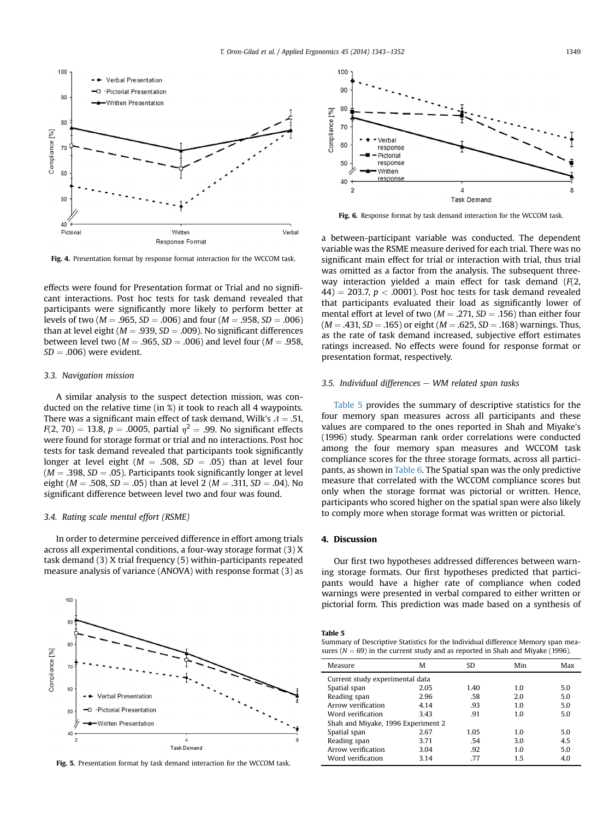<span id="page-6-0"></span>

Fig. 4. Presentation format by response format interaction for the WCCOM task.

effects were found for Presentation format or Trial and no significant interactions. Post hoc tests for task demand revealed that participants were significantly more likely to perform better at levels of two ( $M = .965$ ,  $SD = .006$ ) and four ( $M = .958$ ,  $SD = .006$ ) than at level eight ( $M = .939$ ,  $SD = .009$ ). No significant differences between level two ( $M = .965$ ,  $SD = .006$ ) and level four ( $M = .958$ ,  $SD = .006$ ) were evident.

#### 3.3. Navigation mission

A similar analysis to the suspect detection mission, was conducted on the relative time (in %) it took to reach all 4 waypoints. There was a significant main effect of task demand, Wilk's  $\Lambda = .51$ ,  $F(2, 70) = 13.8, p = .0005$ , partial  $\eta^2 = .99$ . No significant effects were found for storage format or trial and no interactions. Post hoc tests for task demand revealed that participants took significantly longer at level eight ( $M = .508$ ,  $SD = .05$ ) than at level four  $(M = .398, SD = .05)$ . Participants took significantly longer at level eight ( $M = .508$ ,  $SD = .05$ ) than at level 2 ( $M = .311$ ,  $SD = .04$ ). No significant difference between level two and four was found.

#### 3.4. Rating scale mental effort (RSME)

In order to determine perceived difference in effort among trials across all experimental conditions, a four-way storage format (3) X task demand (3) X trial frequency (5) within-participants repeated measure analysis of variance (ANOVA) with response format (3) as



Fig. 5. Presentation format by task demand interaction for the WCCOM task.



Fig. 6. Response format by task demand interaction for the WCCOM task.

a between-participant variable was conducted. The dependent variable was the RSME measure derived for each trial. There was no significant main effect for trial or interaction with trial, thus trial was omitted as a factor from the analysis. The subsequent threeway interaction yielded a main effect for task demand (F(2,  $(44) = 203.7$ ,  $p < .0001$ ). Post hoc tests for task demand revealed that participants evaluated their load as significantly lower of mental effort at level of two ( $M = .271$ ,  $SD = .156$ ) than either four  $(M = .431, SD = .165)$  or eight  $(M = .625, SD = .168)$  warnings. Thus, as the rate of task demand increased, subjective effort estimates ratings increased. No effects were found for response format or presentation format, respectively.

## 3.5. Individual differences  $-$  WM related span tasks

Table 5 provides the summary of descriptive statistics for the four memory span measures across all participants and these values are compared to the ones reported in Shah and Miyake's (1996) study. Spearman rank order correlations were conducted among the four memory span measures and WCCOM task compliance scores for the three storage formats, across all participants, as shown in [Table 6.](#page-7-0) The Spatial span was the only predictive measure that correlated with the WCCOM compliance scores but only when the storage format was pictorial or written. Hence, participants who scored higher on the spatial span were also likely to comply more when storage format was written or pictorial.

#### 4. Discussion

Our first two hypotheses addressed differences between warning storage formats. Our first hypotheses predicted that participants would have a higher rate of compliance when coded warnings were presented in verbal compared to either written or pictorial form. This prediction was made based on a synthesis of

Table 5

Summary of Descriptive Statistics for the Individual difference Memory span measures ( $N = 69$ ) in the current study and as reported in Shah and Miyake (1996).

| Measure                            | м    | SD   | Min | Max |  |  |  |
|------------------------------------|------|------|-----|-----|--|--|--|
| Current study experimental data    |      |      |     |     |  |  |  |
| Spatial span                       | 2.05 | 1.40 | 1.0 | 5.0 |  |  |  |
| Reading span                       | 2.96 | .58  | 2.0 | 5.0 |  |  |  |
| Arrow verification                 | 4.14 | .93  | 1.0 | 5.0 |  |  |  |
| Word verification                  | 3.43 | .91  | 1.0 | 5.0 |  |  |  |
| Shah and Miyake, 1996 Experiment 2 |      |      |     |     |  |  |  |
| Spatial span                       | 2.67 | 1.05 | 1.0 | 5.0 |  |  |  |
| Reading span                       | 3.71 | .54  | 3.0 | 4.5 |  |  |  |
| Arrow verification                 | 3.04 | .92  | 1.0 | 5.0 |  |  |  |
| Word verification                  | 3.14 | .77  | 15  | 4.0 |  |  |  |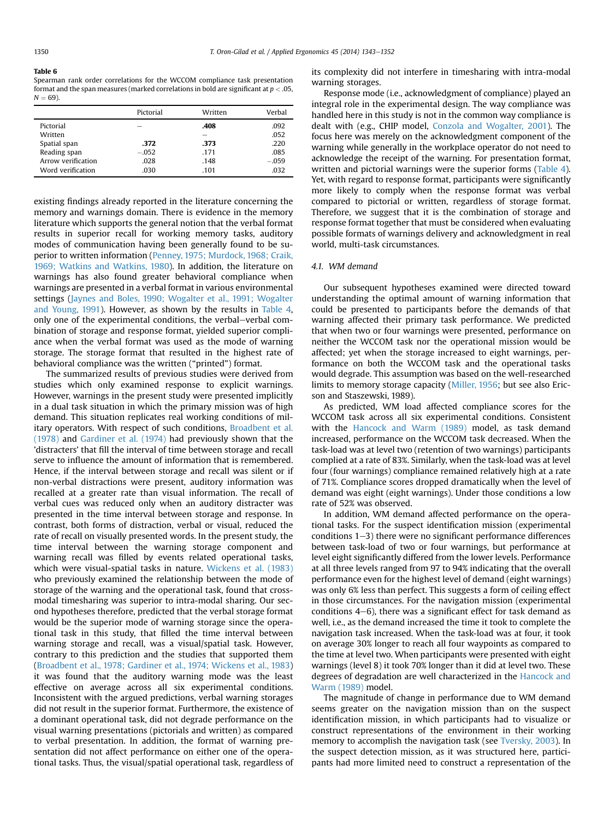#### <span id="page-7-0"></span>Table 6

Spearman rank order correlations for the WCCOM compliance task presentation format and the span measures (marked correlations in bold are significant at  $p < .05$ ,  $N = 69$ ).

|                    | Pictorial | Written | Verbal  |
|--------------------|-----------|---------|---------|
| Pictorial          |           | .408    | .092    |
| Written            |           |         | .052    |
| Spatial span       | .372      | .373    | .220    |
| Reading span       | $-.052$   | .171    | .085    |
| Arrow verification | .028      | .148    | $-.059$ |
| Word verification  | .030      | .101    | .032    |

existing findings already reported in the literature concerning the memory and warnings domain. There is evidence in the memory literature which supports the general notion that the verbal format results in superior recall for working memory tasks, auditory modes of communication having been generally found to be superior to written information ([Penney, 1975; Murdock, 1968; Craik,](#page-9-0) [1969; Watkins and Watkins, 1980\)](#page-9-0). In addition, the literature on warnings has also found greater behavioral compliance when warnings are presented in a verbal format in various environmental settings ([Jaynes and Boles, 1990; Wogalter et al., 1991; Wogalter](#page-9-0) [and Young, 1991](#page-9-0)). However, as shown by the results in [Table 4,](#page-5-0) only one of the experimental conditions, the verbal-verbal combination of storage and response format, yielded superior compliance when the verbal format was used as the mode of warning storage. The storage format that resulted in the highest rate of behavioral compliance was the written ("printed") format.

The summarized results of previous studies were derived from studies which only examined response to explicit warnings. However, warnings in the present study were presented implicitly in a dual task situation in which the primary mission was of high demand. This situation replicates real working conditions of military operators. With respect of such conditions, [Broadbent et al.](#page-8-0) [\(1978\)](#page-8-0) and [Gardiner et al. \(1974\)](#page-8-0) had previously shown that the 'distracters' that fill the interval of time between storage and recall serve to influence the amount of information that is remembered. Hence, if the interval between storage and recall was silent or if non-verbal distractions were present, auditory information was recalled at a greater rate than visual information. The recall of verbal cues was reduced only when an auditory distracter was presented in the time interval between storage and response. In contrast, both forms of distraction, verbal or visual, reduced the rate of recall on visually presented words. In the present study, the time interval between the warning storage component and warning recall was filled by events related operational tasks, which were visual-spatial tasks in nature. [Wickens et al. \(1983\)](#page-9-0) who previously examined the relationship between the mode of storage of the warning and the operational task, found that crossmodal timesharing was superior to intra-modal sharing. Our second hypotheses therefore, predicted that the verbal storage format would be the superior mode of warning storage since the operational task in this study, that filled the time interval between warning storage and recall, was a visual/spatial task. However, contrary to this prediction and the studies that supported them ([Broadbent et al., 1978; Gardiner et al., 1974; Wickens et al., 1983\)](#page-8-0) it was found that the auditory warning mode was the least effective on average across all six experimental conditions. Inconsistent with the argued predictions, verbal warning storages did not result in the superior format. Furthermore, the existence of a dominant operational task, did not degrade performance on the visual warning presentations (pictorials and written) as compared to verbal presentation. In addition, the format of warning presentation did not affect performance on either one of the operational tasks. Thus, the visual/spatial operational task, regardless of its complexity did not interfere in timesharing with intra-modal warning storages.

Response mode (i.e., acknowledgment of compliance) played an integral role in the experimental design. The way compliance was handled here in this study is not in the common way compliance is dealt with (e.g., CHIP model, [Conzola and Wogalter, 2001](#page-8-0)). The focus here was merely on the acknowledgment component of the warning while generally in the workplace operator do not need to acknowledge the receipt of the warning. For presentation format, written and pictorial warnings were the superior forms ([Table 4\)](#page-5-0). Yet, with regard to response format, participants were significantly more likely to comply when the response format was verbal compared to pictorial or written, regardless of storage format. Therefore, we suggest that it is the combination of storage and response format together that must be considered when evaluating possible formats of warnings delivery and acknowledgment in real world, multi-task circumstances.

#### 4.1. WM demand

Our subsequent hypotheses examined were directed toward understanding the optimal amount of warning information that could be presented to participants before the demands of that warning affected their primary task performance. We predicted that when two or four warnings were presented, performance on neither the WCCOM task nor the operational mission would be affected; yet when the storage increased to eight warnings, performance on both the WCCOM task and the operational tasks would degrade. This assumption was based on the well-researched limits to memory storage capacity [\(Miller, 1956;](#page-9-0) but see also Ericson and Staszewski, 1989).

As predicted, WM load affected compliance scores for the WCCOM task across all six experimental conditions. Consistent with the [Hancock and Warm \(1989\)](#page-8-0) model, as task demand increased, performance on the WCCOM task decreased. When the task-load was at level two (retention of two warnings) participants complied at a rate of 83%. Similarly, when the task-load was at level four (four warnings) compliance remained relatively high at a rate of 71%. Compliance scores dropped dramatically when the level of demand was eight (eight warnings). Under those conditions a low rate of 52% was observed.

In addition, WM demand affected performance on the operational tasks. For the suspect identification mission (experimental conditions  $1-3$ ) there were no significant performance differences between task-load of two or four warnings, but performance at level eight significantly differed from the lower levels. Performance at all three levels ranged from 97 to 94% indicating that the overall performance even for the highest level of demand (eight warnings) was only 6% less than perfect. This suggests a form of ceiling effect in those circumstances. For the navigation mission (experimental conditions  $4-6$ ), there was a significant effect for task demand as well, i.e., as the demand increased the time it took to complete the navigation task increased. When the task-load was at four, it took on average 30% longer to reach all four waypoints as compared to the time at level two. When participants were presented with eight warnings (level 8) it took 70% longer than it did at level two. These degrees of degradation are well characterized in the [Hancock and](#page-8-0) [Warm \(1989\)](#page-8-0) model.

The magnitude of change in performance due to WM demand seems greater on the navigation mission than on the suspect identification mission, in which participants had to visualize or construct representations of the environment in their working memory to accomplish the navigation task (see [Tversky, 2003\)](#page-9-0). In the suspect detection mission, as it was structured here, participants had more limited need to construct a representation of the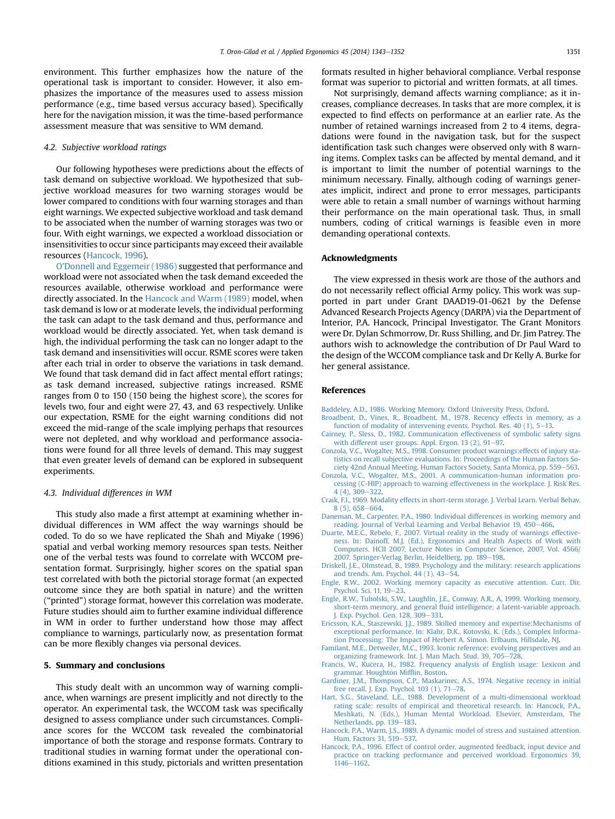<span id="page-8-0"></span>environment. This further emphasizes how the nature of the operational task is important to consider. However, it also emphasizes the importance of the measures used to assess mission performance (e.g., time based versus accuracy based). Specifically here for the navigation mission, it was the time-based performance assessment measure that was sensitive to WM demand.

## 4.2. Subjective workload ratings

Our following hypotheses were predictions about the effects of task demand on subjective workload. We hypothesized that subjective workload measures for two warning storages would be lower compared to conditions with four warning storages and than eight warnings. We expected subjective workload and task demand to be associated when the number of warning storages was two or four. With eight warnings, we expected a workload dissociation or insensitivities to occur since participants may exceed their available resources (Hancock, 1996).

O'[Donnell and Eggemeir \(1986\)](#page-9-0) suggested that performance and workload were not associated when the task demand exceeded the resources available, otherwise workload and performance were directly associated. In the Hancock and Warm (1989) model, when task demand is low or at moderate levels, the individual performing the task can adapt to the task demand and thus, performance and workload would be directly associated. Yet, when task demand is high, the individual performing the task can no longer adapt to the task demand and insensitivities will occur. RSME scores were taken after each trial in order to observe the variations in task demand. We found that task demand did in fact affect mental effort ratings; as task demand increased, subjective ratings increased. RSME ranges from 0 to 150 (150 being the highest score), the scores for levels two, four and eight were 27, 43, and 63 respectively. Unlike our expectation, RSME for the eight warning conditions did not exceed the mid-range of the scale implying perhaps that resources were not depleted, and why workload and performance associations were found for all three levels of demand. This may suggest that even greater levels of demand can be explored in subsequent experiments.

#### 4.3. Individual differences in WM

This study also made a first attempt at examining whether individual differences in WM affect the way warnings should be coded. To do so we have replicated the Shah and Miyake (1996) spatial and verbal working memory resources span tests. Neither one of the verbal tests was found to correlate with WCCOM presentation format. Surprisingly, higher scores on the spatial span test correlated with both the pictorial storage format (an expected outcome since they are both spatial in nature) and the written ("printed") storage format, however this correlation was moderate. Future studies should aim to further examine individual difference in WM in order to further understand how those may affect compliance to warnings, particularly now, as presentation format can be more flexibly changes via personal devices.

## 5. Summary and conclusions

This study dealt with an uncommon way of warning compliance, when warnings are present implicitly and not directly to the operator. An experimental task, the WCCOM task was specifically designed to assess compliance under such circumstances. Compliance scores for the WCCOM task revealed the combinatorial importance of both the storage and response formats. Contrary to traditional studies in warning format under the operational conditions examined in this study, pictorials and written presentation formats resulted in higher behavioral compliance. Verbal response format was superior to pictorial and written formats, at all times.

Not surprisingly, demand affects warning compliance; as it increases, compliance decreases. In tasks that are more complex, it is expected to find effects on performance at an earlier rate. As the number of retained warnings increased from 2 to 4 items, degradations were found in the navigation task, but for the suspect identification task such changes were observed only with 8 warning items. Complex tasks can be affected by mental demand, and it is important to limit the number of potential warnings to the minimum necessary. Finally, although coding of warnings generates implicit, indirect and prone to error messages, participants were able to retain a small number of warnings without harming their performance on the main operational task. Thus, in small numbers, coding of critical warnings is feasible even in more demanding operational contexts.

#### Acknowledgments

The view expressed in thesis work are those of the authors and do not necessarily reflect official Army policy. This work was supported in part under Grant DAAD19-01-0621 by the Defense Advanced Research Projects Agency (DARPA) via the Department of Interior, P.A. Hancock, Principal Investigator. The Grant Monitors were Dr. Dylan Schmorrow, Dr. Russ Shilling, and Dr. Jim Patrey. The authors wish to acknowledge the contribution of Dr Paul Ward to the design of the WCCOM compliance task and Dr Kelly A. Burke for her general assistance.

#### References

- [Baddeley, A.D., 1986. Working Memory. Oxford University Press, Oxford](http://refhub.elsevier.com/S0003-6870(13)00218-4/sref38).
- [Broadbent, D., Vines, R., Broadbent, M., 1978. Recency effects in memory, as a](http://refhub.elsevier.com/S0003-6870(13)00218-4/sref1) function of modality of intervening events. Psychol. Res.  $40(1)$ ,  $5-13$  $5-13$ .
- [Cairney, P., Sless, D., 1982. Communication effectiveness of symbolic safety signs](http://refhub.elsevier.com/S0003-6870(13)00218-4/sref2) [with different user groups. Appl. Ergon. 13 \(2\), 91](http://refhub.elsevier.com/S0003-6870(13)00218-4/sref2)-[97.](http://refhub.elsevier.com/S0003-6870(13)00218-4/sref2)
- [Conzola, V.C., Wogalter, M.S., 1998. Consumer product warnings:effects of injury sta](http://refhub.elsevier.com/S0003-6870(13)00218-4/sref39)[tistics on recall subjective evaluations. In: Proceedings of the Human Factors So](http://refhub.elsevier.com/S0003-6870(13)00218-4/sref39)[ciety 42nd Annual Meeting. Human Factors Society, Santa Monica, pp. 559](http://refhub.elsevier.com/S0003-6870(13)00218-4/sref39)–[563.](http://refhub.elsevier.com/S0003-6870(13)00218-4/sref39)
- [Conzola, V.C., Wogalter, M.S., 2001. A communication-human information pro](http://refhub.elsevier.com/S0003-6870(13)00218-4/sref3)[cessing \(C-HIP\) approach to warning effectiveness in the workplace. J. Risk Res.](http://refhub.elsevier.com/S0003-6870(13)00218-4/sref3)  $4(4)$ ,  $309 - 322$ .
- [Craik, F.I., 1969. Modality effects in short-term storage. J. Verbal Learn. Verbal Behav.](http://refhub.elsevier.com/S0003-6870(13)00218-4/sref4)  $8(5)$ , 658-[664.](http://refhub.elsevier.com/S0003-6870(13)00218-4/sref4)
- [Daneman, M., Carpenter, P.A., 1980. Individual differences in working memory and](http://refhub.elsevier.com/S0003-6870(13)00218-4/sref41) [reading. Journal of Verbal Learning and Verbal Behavior 19, 450](http://refhub.elsevier.com/S0003-6870(13)00218-4/sref41)-[466](http://refhub.elsevier.com/S0003-6870(13)00218-4/sref41).
- [Duarte, M.E.C., Rebelo, F., 2007. Virtual reality in the study of warnings effective](http://refhub.elsevier.com/S0003-6870(13)00218-4/sref40)[ness. In: Dainoff, M.J. \(Ed.\), Ergonomics and Health Aspects of Work with](http://refhub.elsevier.com/S0003-6870(13)00218-4/sref40) [Computers. HCII 2007, Lecture Notes in Computer Science, 2007, Vol. 4566/](http://refhub.elsevier.com/S0003-6870(13)00218-4/sref40) [2007. Springer-Verlag Berlin, Heidelberg, pp. 189](http://refhub.elsevier.com/S0003-6870(13)00218-4/sref40)-[198.](http://refhub.elsevier.com/S0003-6870(13)00218-4/sref40)
- [Driskell, J.E., Olmstead, B., 1989. Psychology and the military: research applications](http://refhub.elsevier.com/S0003-6870(13)00218-4/sref5) and trends. Am. Psychol.  $44$  (1),  $43-54$  $43-54$ .
- [Engle, R.W., 2002. Working memory capacity as executive attention. Curr. Dir.](http://refhub.elsevier.com/S0003-6870(13)00218-4/sref6) Psychol. Sci.  $11, 19-23$  $11, 19-23$ .
- [Engle, R.W., Tuholski, S.W., Laughlin, J.E., Conway, A.R., A, 1999. Working memory,](http://refhub.elsevier.com/S0003-6870(13)00218-4/sref7) short-term memory, and general fl[uid intelligence: a latent-variable approach.](http://refhub.elsevier.com/S0003-6870(13)00218-4/sref7) [J. Exp. Psychol. Gen. 128, 309](http://refhub.elsevier.com/S0003-6870(13)00218-4/sref7)-[331.](http://refhub.elsevier.com/S0003-6870(13)00218-4/sref7)
- [Ericsson, K.A., Staszewski, J.J., 1989. Skilled memory and expertise:Mechanisms of](http://refhub.elsevier.com/S0003-6870(13)00218-4/sref8) [exceptional performance. In: Klahr, D.K., Kotovski, K. \(Eds.\), Complex Informa](http://refhub.elsevier.com/S0003-6870(13)00218-4/sref8)[tion Processing: The Impact of Herbert A. Simon. Erlbaum, Hillsdale, NJ](http://refhub.elsevier.com/S0003-6870(13)00218-4/sref8).
- [Familant, M.E., Detweiler, M.C., 1993. Iconic reference: evolving perspectives and an](http://refhub.elsevier.com/S0003-6870(13)00218-4/sref9) [organizing framework. Int. J. Man Mach. Stud. 39, 705](http://refhub.elsevier.com/S0003-6870(13)00218-4/sref9)-[728.](http://refhub.elsevier.com/S0003-6870(13)00218-4/sref9)
- [Francis, W., Ku](http://refhub.elsevier.com/S0003-6870(13)00218-4/sref44)č[era, H., 1982. Frequency analysis of English usage: Lexicon and](http://refhub.elsevier.com/S0003-6870(13)00218-4/sref44) [grammar. Houghton Mif](http://refhub.elsevier.com/S0003-6870(13)00218-4/sref44)flin, Boston.
- [Gardiner, J.M., Thompson, C.P., Maskarinec, A.S., 1974. Negative recency in initial](http://refhub.elsevier.com/S0003-6870(13)00218-4/sref10) free recall. J. Exp. Psychol.  $103$  (1),  $71-78$  $71-78$ .
- [Hart, S.G., Staveland, L.E., 1988. Development of a multi-dimensional workload](http://refhub.elsevier.com/S0003-6870(13)00218-4/sref11) [rating scale: results of empirical and theoretical research. In: Hancock, P.A.,](http://refhub.elsevier.com/S0003-6870(13)00218-4/sref11) [Meshkati, N. \(Eds.\), Human Mental Workload. Elsevier, Amsterdam, The](http://refhub.elsevier.com/S0003-6870(13)00218-4/sref11) [Netherlands, pp. 139](http://refhub.elsevier.com/S0003-6870(13)00218-4/sref11)-[183.](http://refhub.elsevier.com/S0003-6870(13)00218-4/sref11)
- [Hancock, P.A., Warm, J.S., 1989. A dynamic model of stress and sustained attention.](http://refhub.elsevier.com/S0003-6870(13)00218-4/sref12) [Hum. Factors 31, 519](http://refhub.elsevier.com/S0003-6870(13)00218-4/sref12)-[537.](http://refhub.elsevier.com/S0003-6870(13)00218-4/sref12)
- [Hancock, P.A., 1996. Effect of control order, augmented feedback, input device and](http://refhub.elsevier.com/S0003-6870(13)00218-4/sref13) [practice on tracking performance and perceived workload. Ergonomics 39,](http://refhub.elsevier.com/S0003-6870(13)00218-4/sref13) [1146](http://refhub.elsevier.com/S0003-6870(13)00218-4/sref13)-[1162](http://refhub.elsevier.com/S0003-6870(13)00218-4/sref13).